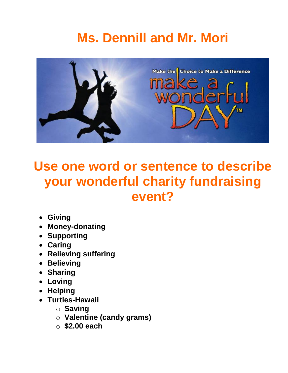# **Ms. Dennill and Mr. Mori**



### **Use one word or sentence to describe your wonderful charity fundraising event?**

- **Giving**
- **Money-donating**
- **Supporting**
- **Caring**
- **Relieving suffering**
- **Believing**
- **Sharing**
- **Loving**
- **Helping**
- **Turtles-Hawaii**
	- o **Saving**
	- o **Valentine (candy grams)**
	- o **\$2.00 each**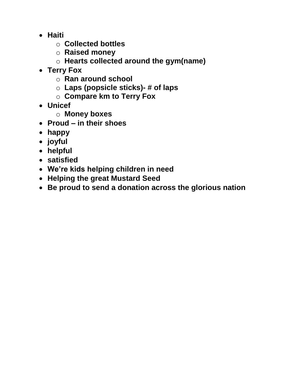- **Haiti**
	- o **Collected bottles**
	- o **Raised money**
	- o **Hearts collected around the gym(name)**
- **Terry Fox**
	- o **Ran around school**
	- o **Laps (popsicle sticks)- # of laps**
	- o **Compare km to Terry Fox**
- **Unicef**
	- o **Money boxes**
- **Proud – in their shoes**
- **happy**
- **joyful**
- **helpful**
- **satisfied**
- **We're kids helping children in need**
- **Helping the great Mustard Seed**
- **Be proud to send a donation across the glorious nation**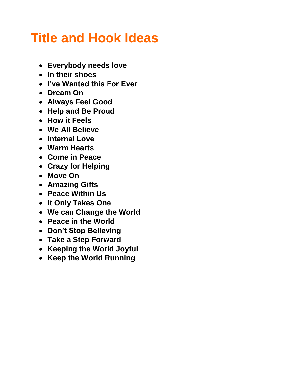## **Title and Hook Ideas**

- **Everybody needs love**
- **In their shoes**
- **I've Wanted this For Ever**
- **Dream On**
- **Always Feel Good**
- **Help and Be Proud**
- **How it Feels**
- **We All Believe**
- **Internal Love**
- **Warm Hearts**
- **Come in Peace**
- **Crazy for Helping**
- **Move On**
- **Amazing Gifts**
- **Peace Within Us**
- **It Only Takes One**
- **We can Change the World**
- **Peace in the World**
- **Don't Stop Believing**
- **Take a Step Forward**
- **Keeping the World Joyful**
- **Keep the World Running**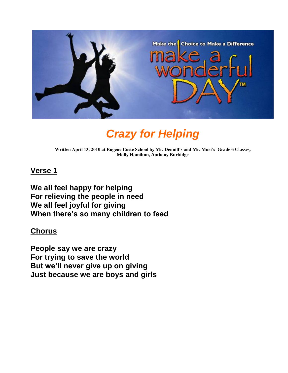

### *Crazy for Helping*

**Written April 13, 2010 at Eugene Coste School by Mr. Dennill's and Mr. Mori's Grade 6 Classes, Molly Hamilton, Anthony Burbidge**

#### **Verse 1**

**We all feel happy for helping For relieving the people in need We all feel joyful for giving When there's so many children to feed**

#### **Chorus**

**People say we are crazy For trying to save the world But we'll never give up on giving Just because we are boys and girls**